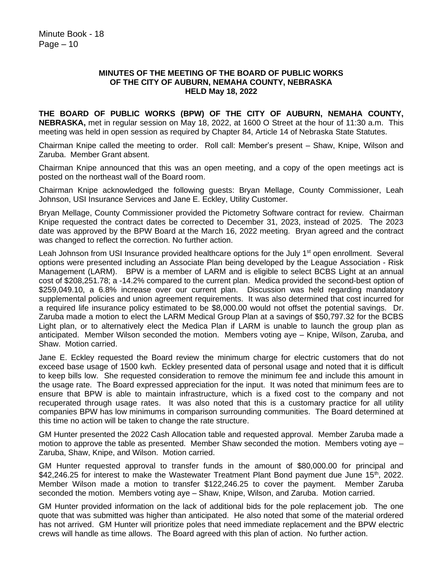## **MINUTES OF THE MEETING OF THE BOARD OF PUBLIC WORKS OF THE CITY OF AUBURN, NEMAHA COUNTY, NEBRASKA HELD May 18, 2022**

**THE BOARD OF PUBLIC WORKS (BPW) OF THE CITY OF AUBURN, NEMAHA COUNTY, NEBRASKA,** met in regular session on May 18, 2022, at 1600 O Street at the hour of 11:30 a.m. This meeting was held in open session as required by Chapter 84, Article 14 of Nebraska State Statutes.

Chairman Knipe called the meeting to order. Roll call: Member's present – Shaw, Knipe, Wilson and Zaruba. Member Grant absent.

Chairman Knipe announced that this was an open meeting, and a copy of the open meetings act is posted on the northeast wall of the Board room.

Chairman Knipe acknowledged the following guests: Bryan Mellage, County Commissioner, Leah Johnson, USI Insurance Services and Jane E. Eckley, Utility Customer.

Bryan Mellage, County Commissioner provided the Pictometry Software contract for review. Chairman Knipe requested the contract dates be corrected to December 31, 2023, instead of 2025. The 2023 date was approved by the BPW Board at the March 16, 2022 meeting. Bryan agreed and the contract was changed to reflect the correction. No further action.

Leah Johnson from USI Insurance provided healthcare options for the July 1<sup>st</sup> open enrollment. Several options were presented including an Associate Plan being developed by the League Association - Risk Management (LARM). BPW is a member of LARM and is eligible to select BCBS Light at an annual cost of \$208,251.78; a -14.2% compared to the current plan. Medica provided the second-best option of \$259,049.10, a 6.8% increase over our current plan. Discussion was held regarding mandatory supplemental policies and union agreement requirements. It was also determined that cost incurred for a required life insurance policy estimated to be \$8,000.00 would not offset the potential savings. Dr. Zaruba made a motion to elect the LARM Medical Group Plan at a savings of \$50,797.32 for the BCBS Light plan, or to alternatively elect the Medica Plan if LARM is unable to launch the group plan as anticipated. Member Wilson seconded the motion. Members voting aye – Knipe, Wilson, Zaruba, and Shaw. Motion carried.

Jane E. Eckley requested the Board review the minimum charge for electric customers that do not exceed base usage of 1500 kwh. Eckley presented data of personal usage and noted that it is difficult to keep bills low. She requested consideration to remove the minimum fee and include this amount in the usage rate. The Board expressed appreciation for the input. It was noted that minimum fees are to ensure that BPW is able to maintain infrastructure, which is a fixed cost to the company and not recuperated through usage rates. It was also noted that this is a customary practice for all utility companies BPW has low minimums in comparison surrounding communities. The Board determined at this time no action will be taken to change the rate structure.

GM Hunter presented the 2022 Cash Allocation table and requested approval. Member Zaruba made a motion to approve the table as presented. Member Shaw seconded the motion. Members voting aye – Zaruba, Shaw, Knipe, and Wilson. Motion carried.

GM Hunter requested approval to transfer funds in the amount of \$80,000.00 for principal and \$42,246.25 for interest to make the Wastewater Treatment Plant Bond payment due June  $15<sup>th</sup>$ , 2022. Member Wilson made a motion to transfer \$122,246.25 to cover the payment. Member Zaruba seconded the motion. Members voting aye – Shaw, Knipe, Wilson, and Zaruba. Motion carried.

GM Hunter provided information on the lack of additional bids for the pole replacement job. The one quote that was submitted was higher than anticipated. He also noted that some of the material ordered has not arrived. GM Hunter will prioritize poles that need immediate replacement and the BPW electric crews will handle as time allows. The Board agreed with this plan of action. No further action.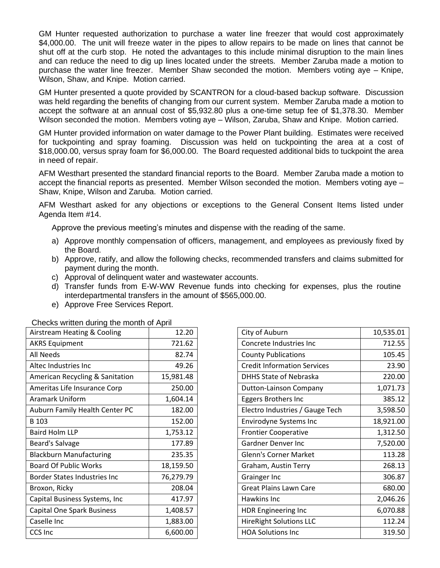GM Hunter requested authorization to purchase a water line freezer that would cost approximately \$4,000.00. The unit will freeze water in the pipes to allow repairs to be made on lines that cannot be shut off at the curb stop. He noted the advantages to this include minimal disruption to the main lines and can reduce the need to dig up lines located under the streets. Member Zaruba made a motion to purchase the water line freezer. Member Shaw seconded the motion. Members voting aye – Knipe, Wilson, Shaw, and Knipe. Motion carried.

GM Hunter presented a quote provided by SCANTRON for a cloud-based backup software. Discussion was held regarding the benefits of changing from our current system. Member Zaruba made a motion to accept the software at an annual cost of \$5,932.80 plus a one-time setup fee of \$1,378.30. Member Wilson seconded the motion. Members voting aye – Wilson, Zaruba, Shaw and Knipe. Motion carried.

GM Hunter provided information on water damage to the Power Plant building. Estimates were received for tuckpointing and spray foaming. Discussion was held on tuckpointing the area at a cost of \$18,000.00, versus spray foam for \$6,000.00. The Board requested additional bids to tuckpoint the area in need of repair.

AFM Westhart presented the standard financial reports to the Board. Member Zaruba made a motion to accept the financial reports as presented. Member Wilson seconded the motion. Members voting aye – Shaw, Knipe, Wilson and Zaruba. Motion carried.

AFM Westhart asked for any objections or exceptions to the General Consent Items listed under Agenda Item #14.

Approve the previous meeting's minutes and dispense with the reading of the same.

- a) Approve monthly compensation of officers, management, and employees as previously fixed by the Board.
- b) Approve, ratify, and allow the following checks, recommended transfers and claims submitted for payment during the month.
- c) Approval of delinquent water and wastewater accounts.
- d) Transfer funds from E-W-WW Revenue funds into checking for expenses, plus the routine interdepartmental transfers in the amount of \$565,000.00.
- e) Approve Free Services Report.

| oncore winter requiring the month of April |           |
|--------------------------------------------|-----------|
| Airstream Heating & Cooling                | 12.20     |
| <b>AKRS Equipment</b>                      | 721.62    |
| <b>All Needs</b>                           | 82.74     |
| Altec Industries Inc                       | 49.26     |
| American Recycling & Sanitation            | 15,981.48 |
| Ameritas Life Insurance Corp               | 250.00    |
| <b>Aramark Uniform</b>                     | 1,604.14  |
| Auburn Family Health Center PC             | 182.00    |
| B 103                                      | 152.00    |
| <b>Baird Holm LLP</b>                      | 1,753.12  |
| Beard's Salvage                            | 177.89    |
| <b>Blackburn Manufacturing</b>             | 235.35    |
| <b>Board Of Public Works</b>               | 18,159.50 |
| <b>Border States Industries Inc</b>        | 76,279.79 |
| Broxon, Ricky                              | 208.04    |
| Capital Business Systems, Inc              | 417.97    |
| Capital One Spark Business                 | 1,408.57  |
| Caselle Inc                                | 1,883.00  |
| <b>CCS Inc</b>                             | 6,600.00  |

Checks written during the month of April

| City of Auburn                     | 10,535.01 |
|------------------------------------|-----------|
| Concrete Industries Inc            | 712.55    |
| <b>County Publications</b>         | 105.45    |
| <b>Credit Information Services</b> | 23.90     |
| <b>DHHS State of Nebraska</b>      | 220.00    |
| Dutton-Lainson Company             | 1,071.73  |
| Eggers Brothers Inc                | 385.12    |
| Electro Industries / Gauge Tech    | 3,598.50  |
| <b>Envirodyne Systems Inc</b>      | 18,921.00 |
| <b>Frontier Cooperative</b>        | 1,312.50  |
| Gardner Denver Inc                 | 7,520.00  |
| <b>Glenn's Corner Market</b>       | 113.28    |
| Graham, Austin Terry               | 268.13    |
| Grainger Inc                       | 306.87    |
| <b>Great Plains Lawn Care</b>      | 680.00    |
| Hawkins Inc                        | 2,046.26  |
| <b>HDR Engineering Inc</b>         | 6,070.88  |
| <b>HireRight Solutions LLC</b>     | 112.24    |
| <b>HOA Solutions Inc</b>           | 319.50    |
|                                    |           |